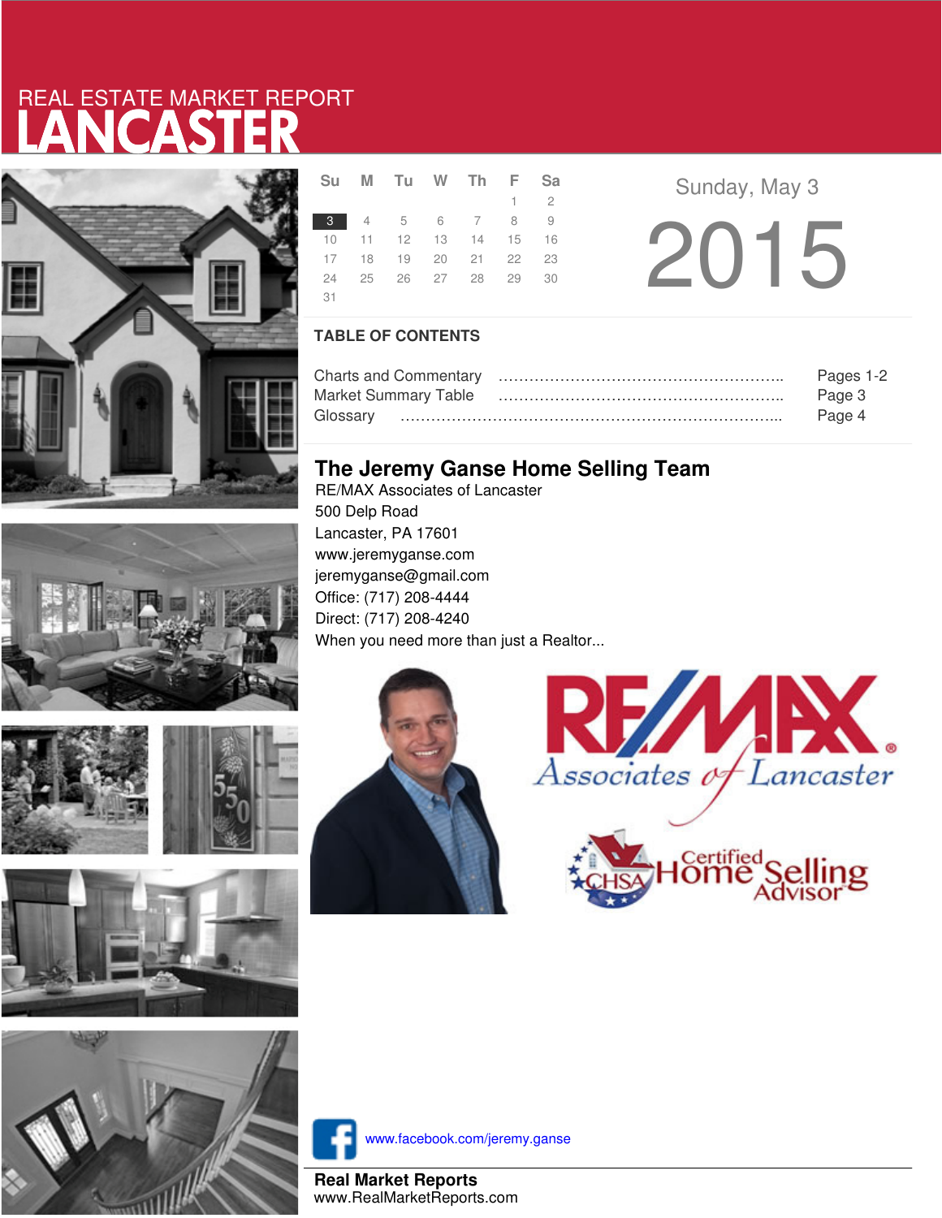# LANCASTER REAL ESTATE MARKET REPORT









|     | Su M Tu W Th F Sa                |  |             |  |
|-----|----------------------------------|--|-------------|--|
|     |                                  |  | $1 \quad 2$ |  |
|     | 3 4 5 6 7 8 9                    |  |             |  |
|     | 10 11 12 13 14 15 16             |  |             |  |
|     | 17 18 19 20 21 22 23             |  |             |  |
|     | 24   25   26   27   28   29   30 |  |             |  |
| -31 |                                  |  |             |  |

**a Sunday**, May 3 2015

### **TABLE OF CONTENTS**

|                             | Pages 1-2 |
|-----------------------------|-----------|
| <b>Market Summary Table</b> | Page 3    |
|                             | Page 4    |

### **The Jeremy Ganse Home Selling Team**

RE/MAX Associates of Lancaster 500 Delp Road Lancaster, PA 17601 www.jeremyganse.com jeremyganse@gmail.com Office: (717) 208-4444 Direct: (717) 208-4240 When you need more than just a Realtor...







www.facebook.com/jeremy.ganse

**Real Market Reports** www.RealMarketReports.com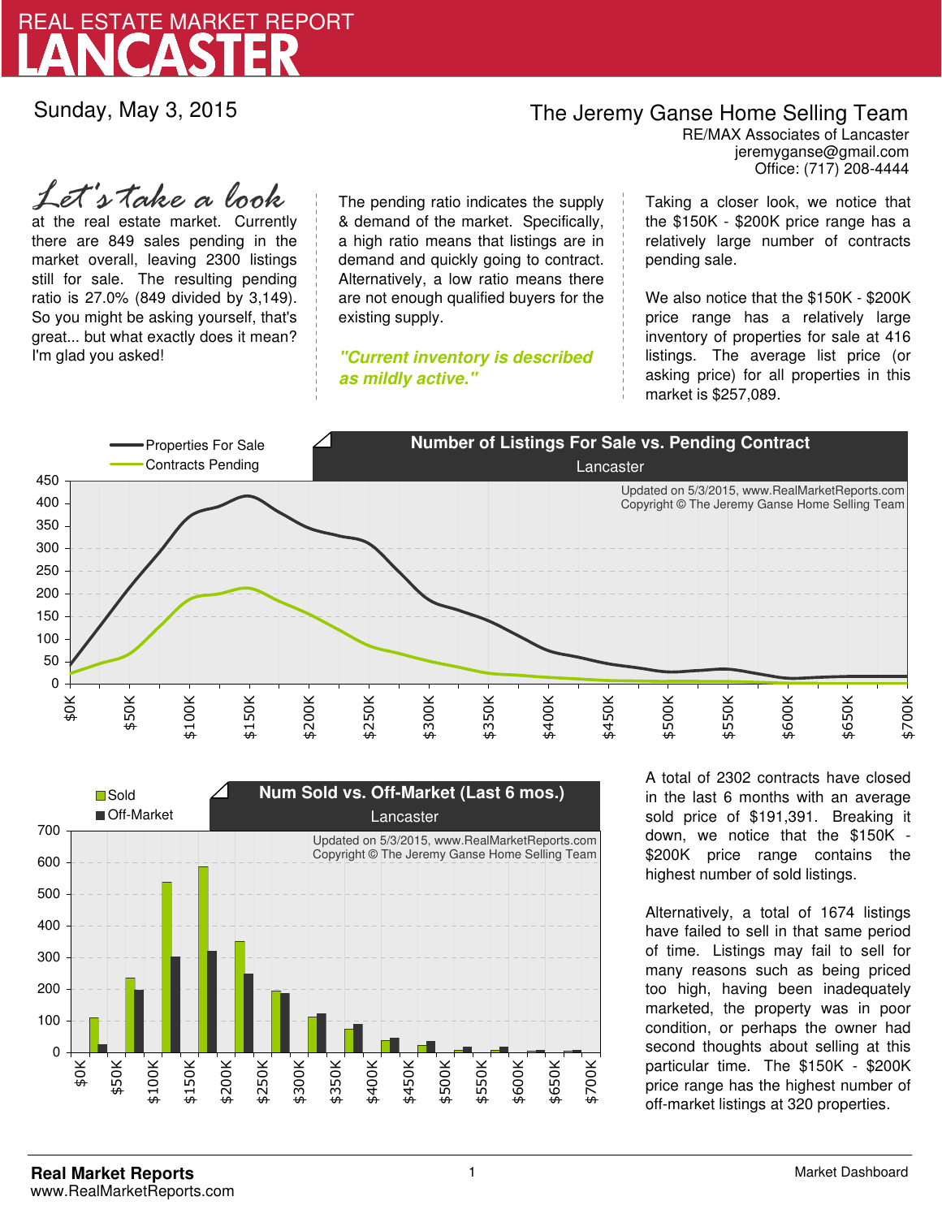

Sunday, May 3, 2015

## The Jeremy Ganse Home Selling Team

jeremyganse@gmail.com RE/MAX Associates of Lancaster Office: (717) 208-4444

at the real estate market. Currently there are 849 sales pending in the market overall, leaving 2300 listings still for sale. The resulting pending ratio is 27.0% (849 divided by 3,149). So you might be asking yourself, that's great... but what exactly does it mean? I'm glad you asked! *Let's take a look*

The pending ratio indicates the supply & demand of the market. Specifically, a high ratio means that listings are in demand and quickly going to contract. Alternatively, a low ratio means there are not enough qualified buyers for the existing supply.

**"Current inventory is described as mildly active."**

Taking a closer look, we notice that the \$150K - \$200K price range has a relatively large number of contracts pending sale.

We also notice that the \$150K - \$200K price range has a relatively large inventory of properties for sale at 416 listings. The average list price (or asking price) for all properties in this market is \$257,089.





A total of 2302 contracts have closed in the last 6 months with an average sold price of \$191,391. Breaking it down, we notice that the \$150K - \$200K price range contains the highest number of sold listings.

Alternatively, a total of 1674 listings have failed to sell in that same period of time. Listings may fail to sell for many reasons such as being priced too high, having been inadequately marketed, the property was in poor condition, or perhaps the owner had second thoughts about selling at this particular time. The \$150K - \$200K price range has the highest number of off-market listings at 320 properties.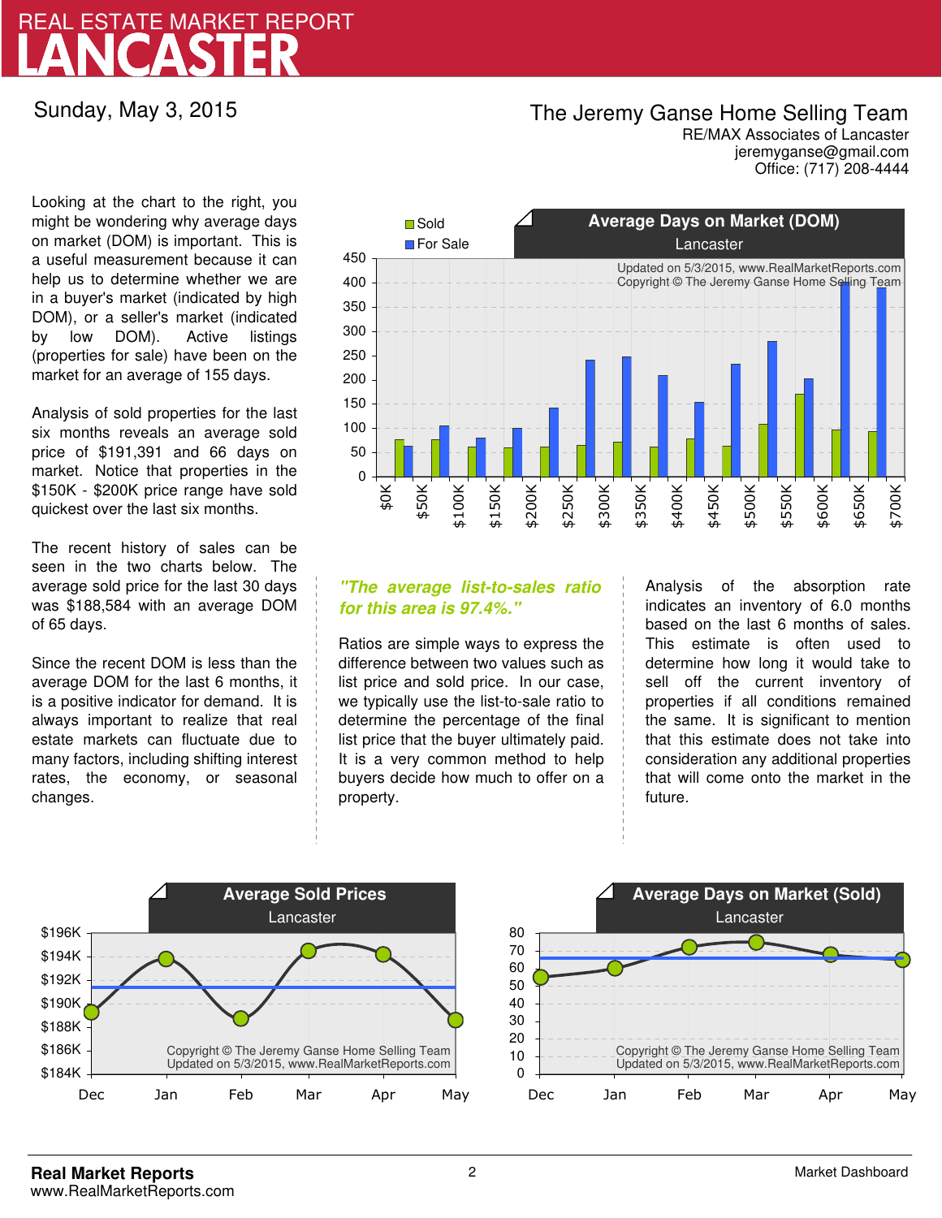# LANCASTER REAL ESTATE MARKET REPORT

Sunday, May 3, 2015

## The Jeremy Ganse Home Selling Team

jeremyganse@gmail.com RE/MAX Associates of Lancaster Office: (717) 208-4444

Looking at the chart to the right, you might be wondering why average days on market (DOM) is important. This is a useful measurement because it can help us to determine whether we are in a buyer's market (indicated by high DOM), or a seller's market (indicated by low DOM). Active listings (properties for sale) have been on the market for an average of 155 days.

Analysis of sold properties for the last six months reveals an average sold price of \$191,391 and 66 days on market. Notice that properties in the \$150K - \$200K price range have sold quickest over the last six months.

The recent history of sales can be seen in the two charts below. The average sold price for the last 30 days was \$188,584 with an average DOM of 65 days.

Since the recent DOM is less than the average DOM for the last 6 months, it is a positive indicator for demand. It is always important to realize that real estate markets can fluctuate due to many factors, including shifting interest rates, the economy, or seasonal changes.



### **"The average list-to-sales ratio for this area is 97.4%."**

Ratios are simple ways to express the difference between two values such as list price and sold price. In our case, we typically use the list-to-sale ratio to determine the percentage of the final list price that the buyer ultimately paid. It is a very common method to help buyers decide how much to offer on a property.

Analysis of the absorption rate indicates an inventory of 6.0 months based on the last 6 months of sales. This estimate is often used to determine how long it would take to sell off the current inventory of properties if all conditions remained the same. It is significant to mention that this estimate does not take into consideration any additional properties that will come onto the market in the future.



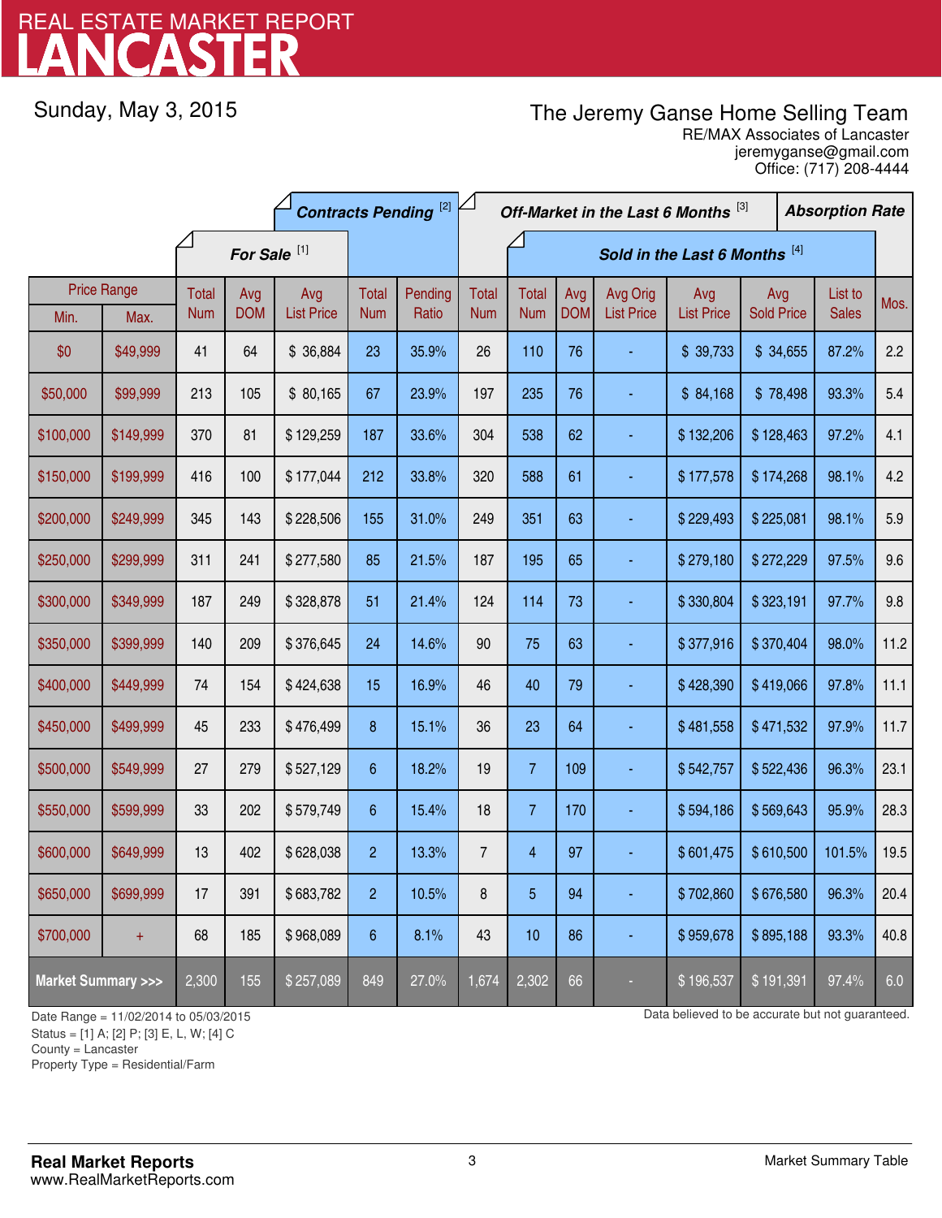# LANCASTER REAL ESTATE MARKET REPORT

Sunday, May 3, 2015

## The Jeremy Ganse Home Selling Team

jeremyganse@gmail.com RE/MAX Associates of Lancaster Office: (717) 208-4444

|                                    |                            | <b>Contracts Pending [2]</b> |                   |                          |                     | Off-Market in the Last 6 Months [3]<br><b>Absorption Rate</b> |                            |                            |                   |                               |                          |                          |  |                         |      |
|------------------------------------|----------------------------|------------------------------|-------------------|--------------------------|---------------------|---------------------------------------------------------------|----------------------------|----------------------------|-------------------|-------------------------------|--------------------------|--------------------------|--|-------------------------|------|
|                                    |                            | For Sale <sup>[1]</sup>      |                   |                          |                     | Sold in the Last 6 Months [4]                                 |                            |                            |                   |                               |                          |                          |  |                         |      |
| Min.                               | <b>Price Range</b><br>Max. | Total<br><b>Num</b>          | Avg<br><b>DOM</b> | Avg<br><b>List Price</b> | Total<br><b>Num</b> | Pending<br>Ratio                                              | <b>Total</b><br><b>Num</b> | <b>Total</b><br><b>Num</b> | Avg<br><b>DOM</b> | Avg Orig<br><b>List Price</b> | Avg<br><b>List Price</b> | Avg<br><b>Sold Price</b> |  | List to<br><b>Sales</b> | Mos. |
| \$0                                | \$49,999                   | 41                           | 64                | \$36,884                 | 23                  | 35.9%                                                         | 26                         | 110                        | 76                |                               | \$39,733                 | \$34,655                 |  | 87.2%                   | 2.2  |
| \$50,000                           | \$99,999                   | 213                          | 105               | \$80,165                 | 67                  | 23.9%                                                         | 197                        | 235                        | 76                |                               | \$84,168                 | \$78,498                 |  | 93.3%                   | 5.4  |
| \$100,000                          | \$149,999                  | 370                          | 81                | \$129,259                | 187                 | 33.6%                                                         | 304                        | 538                        | 62                |                               | \$132,206                | \$128,463                |  | 97.2%                   | 4.1  |
| \$150,000                          | \$199,999                  | 416                          | 100               | \$177,044                | 212                 | 33.8%                                                         | 320                        | 588                        | 61                |                               | \$177,578                | \$174,268                |  | 98.1%                   | 4.2  |
| \$200,000                          | \$249,999                  | 345                          | 143               | \$228,506                | 155                 | 31.0%                                                         | 249                        | 351                        | 63                |                               | \$229,493                | \$225,081                |  | 98.1%                   | 5.9  |
| \$250,000                          | \$299,999                  | 311                          | 241               | \$277,580                | 85                  | 21.5%                                                         | 187                        | 195                        | 65                |                               | \$279,180                | \$272,229                |  | 97.5%                   | 9.6  |
| \$300,000                          | \$349,999                  | 187                          | 249               | \$328,878                | 51                  | 21.4%                                                         | 124                        | 114                        | 73                |                               | \$330,804                | \$323,191                |  | 97.7%                   | 9.8  |
| \$350,000                          | \$399,999                  | 140                          | 209               | \$376,645                | 24                  | 14.6%                                                         | 90                         | 75                         | 63                |                               | \$377,916                | \$370,404                |  | 98.0%                   | 11.2 |
| \$400,000                          | \$449,999                  | 74                           | 154               | \$424,638                | 15                  | 16.9%                                                         | 46                         | 40                         | 79                |                               | \$428,390                | \$419,066                |  | 97.8%                   | 11.1 |
| \$450,000                          | \$499,999                  | 45                           | 233               | \$476,499                | 8                   | 15.1%                                                         | 36                         | 23                         | 64                |                               | \$481,558                | \$471,532                |  | 97.9%                   | 11.7 |
| \$500,000                          | \$549,999                  | 27                           | 279               | \$527,129                | 6                   | 18.2%                                                         | 19                         | $\overline{7}$             | 109               |                               | \$542,757                | \$522,436                |  | 96.3%                   | 23.1 |
| \$550,000                          | \$599,999                  | 33                           | 202               | \$579,749                | 6                   | 15.4%                                                         | 18                         | $\overline{7}$             | 170               |                               | \$594,186                | \$569,643                |  | 95.9%                   | 28.3 |
| \$600,000                          | \$649,999                  | 13                           | 402               | \$628,038                | $\overline{2}$      | 13.3%                                                         | $\overline{7}$             | $\overline{4}$             | 97                |                               | \$601,475                | \$610,500                |  | 101.5%                  | 19.5 |
| \$650,000                          | \$699,999                  | 17                           | 391               | \$683,782                | $\overline{2}$      | 10.5%                                                         | 8                          | 5                          | 94                |                               | \$702,860                | \$676,580                |  | 96.3%                   | 20.4 |
| \$700,000                          | $+$                        | 68                           | 185               | \$968,089                | $6\phantom{.}6$     | 8.1%                                                          | 43                         | 10                         | 86                |                               | \$959,678                | \$895,188                |  | 93.3%                   | 40.8 |
| <b>Market Summary &gt;&gt;&gt;</b> |                            | 2,300                        | 155               | \$257,089                | 849                 | 27.0%                                                         | 1,674                      | 2,302                      | 66                |                               | \$196,537                | \$191,391                |  | 97.4%                   | 6.0  |

Status = [1] A; [2] P; [3] E, L, W; [4] C

County = Lancaster

1

Property Type = Residential/Farm

Date Range = 11/02/2014 to 05/03/2015 Date Range = 11/02/2014 to 05/03/2015